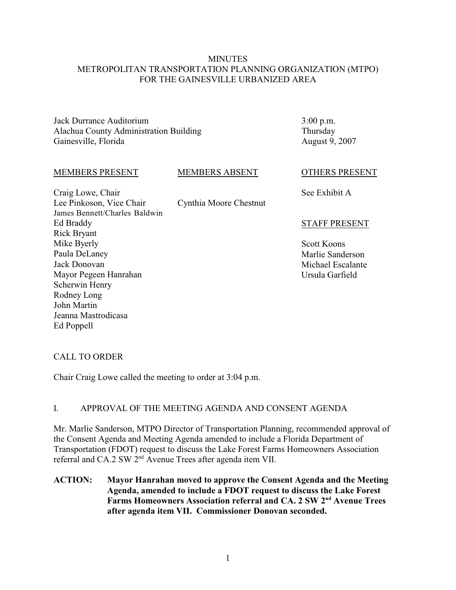## **MINUTES** METROPOLITAN TRANSPORTATION PLANNING ORGANIZATION (MTPO) FOR THE GAINESVILLE URBANIZED AREA

Jack Durrance Auditorium Alachua County Administration Building Gainesville, Florida

3:00 p.m. Thursday August 9, 2007

#### MEMBERS PRESENT

#### MEMBERS ABSENT

Cynthia Moore Chestnut

Craig Lowe, Chair Lee Pinkoson, Vice Chair James Bennett/Charles Baldwin Ed Braddy Rick Bryant Mike Byerly Paula DeLaney Jack Donovan Mayor Pegeen Hanrahan Scherwin Henry Rodney Long John Martin Jeanna Mastrodicasa Ed Poppell

OTHERS PRESENT

See Exhibit A

## STAFF PRESENT

Scott Koons Marlie Sanderson Michael Escalante Ursula Garfield

## CALL TO ORDER

Chair Craig Lowe called the meeting to order at 3:04 p.m.

## I. APPROVAL OF THE MEETING AGENDA AND CONSENT AGENDA

Mr. Marlie Sanderson, MTPO Director of Transportation Planning, recommended approval of the Consent Agenda and Meeting Agenda amended to include a Florida Department of Transportation (FDOT) request to discuss the Lake Forest Farms Homeowners Association referral and CA.2 SW  $2<sup>nd</sup>$  Avenue Trees after agenda item VII.

**ACTION: Mayor Hanrahan moved to approve the Consent Agenda and the Meeting Agenda, amended to include a FDOT request to discuss the Lake Forest** Farms Homeowners Association referral and CA. 2 SW 2<sup>nd</sup> Avenue Trees **after agenda item VII. Commissioner Donovan seconded.**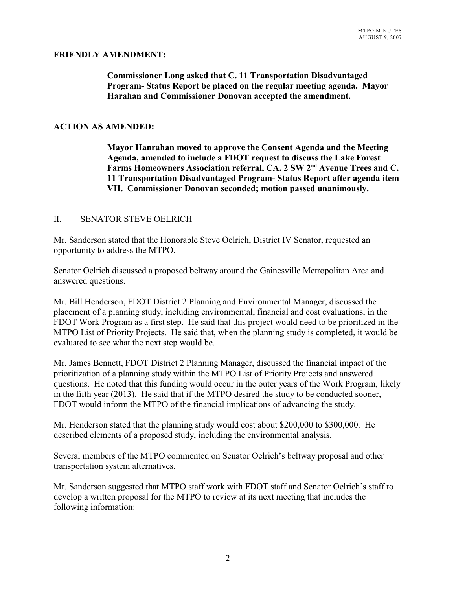## **FRIENDLY AMENDMENT:**

# **Commissioner Long asked that C. 11 Transportation Disadvantaged Program- Status Report be placed on the regular meeting agenda. Mayor Harahan and Commissioner Donovan accepted the amendment.**

#### **ACTION AS AMENDED:**

**Mayor Hanrahan moved to approve the Consent Agenda and the Meeting Agenda, amended to include a FDOT request to discuss the Lake Forest** Farms Homeowners Association referral, CA. 2 SW 2<sup>nd</sup> Avenue Trees and C. **11 Transportation Disadvantaged Program- Status Report after agenda item VII. Commissioner Donovan seconded; motion passed unanimously.**

#### II. SENATOR STEVE OELRICH

Mr. Sanderson stated that the Honorable Steve Oelrich, District IV Senator, requested an opportunity to address the MTPO.

Senator Oelrich discussed a proposed beltway around the Gainesville Metropolitan Area and answered questions.

Mr. Bill Henderson, FDOT District 2 Planning and Environmental Manager, discussed the placement of a planning study, including environmental, financial and cost evaluations, in the FDOT Work Program as a first step. He said that this project would need to be prioritized in the MTPO List of Priority Projects. He said that, when the planning study is completed, it would be evaluated to see what the next step would be.

Mr. James Bennett, FDOT District 2 Planning Manager, discussed the financial impact of the prioritization of a planning study within the MTPO List of Priority Projects and answered questions. He noted that this funding would occur in the outer years of the Work Program, likely in the fifth year (2013). He said that if the MTPO desired the study to be conducted sooner, FDOT would inform the MTPO of the financial implications of advancing the study.

Mr. Henderson stated that the planning study would cost about \$200,000 to \$300,000. He described elements of a proposed study, including the environmental analysis.

Several members of the MTPO commented on Senator Oelrich's beltway proposal and other transportation system alternatives.

Mr. Sanderson suggested that MTPO staff work with FDOT staff and Senator Oelrich's staff to develop a written proposal for the MTPO to review at its next meeting that includes the following information: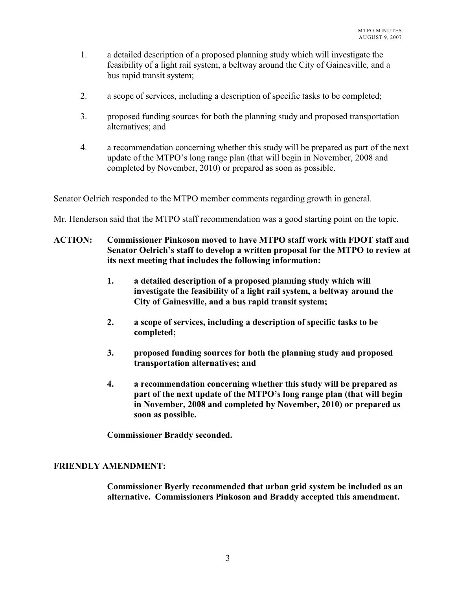- 1. a detailed description of a proposed planning study which will investigate the feasibility of a light rail system, a beltway around the City of Gainesville, and a bus rapid transit system;
- 2. a scope of services, including a description of specific tasks to be completed;
- 3. proposed funding sources for both the planning study and proposed transportation alternatives; and
- 4. a recommendation concerning whether this study will be prepared as part of the next update of the MTPO's long range plan (that will begin in November, 2008 and completed by November, 2010) or prepared as soon as possible.

Senator Oelrich responded to the MTPO member comments regarding growth in general.

Mr. Henderson said that the MTPO staff recommendation was a good starting point on the topic.

- **ACTION: Commissioner Pinkoson moved to have MTPO staff work with FDOT staff and Senator Oelrich's staff to develop a written proposal for the MTPO to review at its next meeting that includes the following information:**
	- **1. a detailed description of a proposed planning study which will investigate the feasibility of a light rail system, a beltway around the City of Gainesville, and a bus rapid transit system;**
	- **2. a scope of services, including a description of specific tasks to be completed;**
	- **3. proposed funding sources for both the planning study and proposed transportation alternatives; and**
	- **4. a recommendation concerning whether this study will be prepared as part of the next update of the MTPO's long range plan (that will begin in November, 2008 and completed by November, 2010) or prepared as soon as possible.**

**Commissioner Braddy seconded.**

## **FRIENDLY AMENDMENT:**

**Commissioner Byerly recommended that urban grid system be included as an alternative. Commissioners Pinkoson and Braddy accepted this amendment.**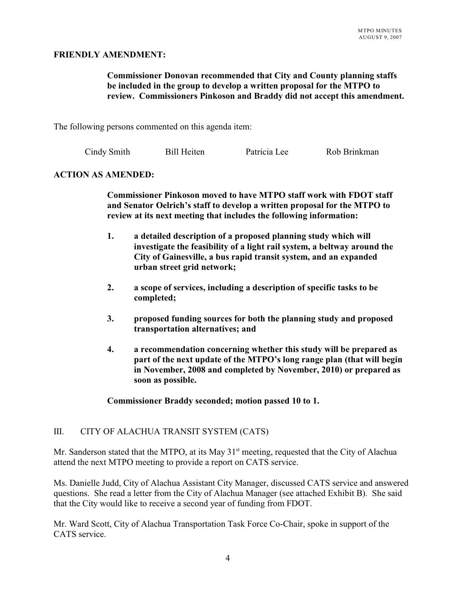## **FRIENDLY AMENDMENT:**

## **Commissioner Donovan recommended that City and County planning staffs be included in the group to develop a written proposal for the MTPO to review. Commissioners Pinkoson and Braddy did not accept this amendment.**

The following persons commented on this agenda item:

|  | Cindy Smith | <b>Bill Heiten</b> | Patricia Lee | Rob Brinkman |
|--|-------------|--------------------|--------------|--------------|
|--|-------------|--------------------|--------------|--------------|

## **ACTION AS AMENDED:**

**Commissioner Pinkoson moved to have MTPO staff work with FDOT staff and Senator Oelrich's staff to develop a written proposal for the MTPO to review at its next meeting that includes the following information:**

- **1. a detailed description of a proposed planning study which will investigate the feasibility of a light rail system, a beltway around the City of Gainesville, a bus rapid transit system, and an expanded urban street grid network;**
- **2. a scope of services, including a description of specific tasks to be completed;**
- **3. proposed funding sources for both the planning study and proposed transportation alternatives; and**
- **4. a recommendation concerning whether this study will be prepared as part of the next update of the MTPO's long range plan (that will begin in November, 2008 and completed by November, 2010) or prepared as soon as possible.**

**Commissioner Braddy seconded; motion passed 10 to 1.**

## III. CITY OF ALACHUA TRANSIT SYSTEM (CATS)

Mr. Sanderson stated that the MTPO, at its May  $31<sup>st</sup>$  meeting, requested that the City of Alachua attend the next MTPO meeting to provide a report on CATS service.

Ms. Danielle Judd, City of Alachua Assistant City Manager, discussed CATS service and answered questions. She read a letter from the City of Alachua Manager (see attached Exhibit B). She said that the City would like to receive a second year of funding from FDOT.

Mr. Ward Scott, City of Alachua Transportation Task Force Co-Chair, spoke in support of the CATS service.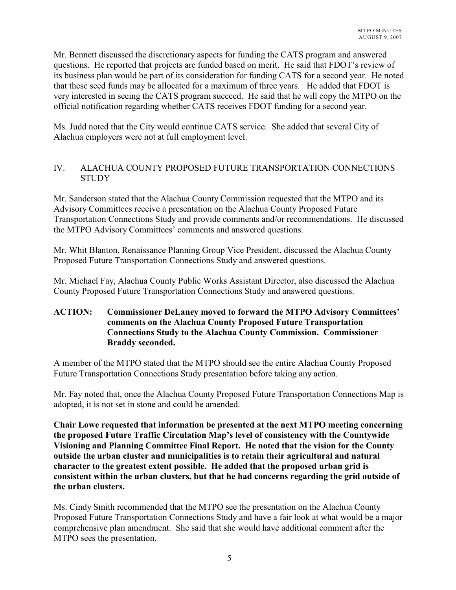Mr. Bennett discussed the discretionary aspects for funding the CATS program and answered questions. He reported that projects are funded based on merit. He said that FDOT's review of its business plan would be part of its consideration for funding CATS for a second year. He noted that these seed funds may be allocated for a maximum of three years. He added that FDOT is very interested in seeing the CATS program succeed. He said that he will copy the MTPO on the official notification regarding whether CATS receives FDOT funding for a second year.

Ms. Judd noted that the City would continue CATS service. She added that several City of Alachua employers were not at full employment level.

# IV. ALACHUA COUNTY PROPOSED FUTURE TRANSPORTATION CONNECTIONS **STUDY**

Mr. Sanderson stated that the Alachua County Commission requested that the MTPO and its Advisory Committees receive a presentation on the Alachua County Proposed Future Transportation Connections Study and provide comments and/or recommendations. He discussed the MTPO Advisory Committees' comments and answered questions.

Mr. Whit Blanton, Renaissance Planning Group Vice President, discussed the Alachua County Proposed Future Transportation Connections Study and answered questions.

Mr. Michael Fay, Alachua County Public Works Assistant Director, also discussed the Alachua County Proposed Future Transportation Connections Study and answered questions.

# **ACTION: Commissioner DeLaney moved to forward the MTPO Advisory Committees' comments on the Alachua County Proposed Future Transportation Connections Study to the Alachua County Commission. Commissioner Braddy seconded.**

A member of the MTPO stated that the MTPO should see the entire Alachua County Proposed Future Transportation Connections Study presentation before taking any action.

Mr. Fay noted that, once the Alachua County Proposed Future Transportation Connections Map is adopted, it is not set in stone and could be amended.

**Chair Lowe requested that information be presented at the next MTPO meeting concerning the proposed Future Traffic Circulation Map's level of consistency with the Countywide Visioning and Planning Committee Final Report. He noted that the vision for the County outside the urban cluster and municipalities is to retain their agricultural and natural character to the greatest extent possible. He added that the proposed urban grid is consistent within the urban clusters, but that he had concerns regarding the grid outside of the urban clusters.** 

Ms. Cindy Smith recommended that the MTPO see the presentation on the Alachua County Proposed Future Transportation Connections Study and have a fair look at what would be a major comprehensive plan amendment. She said that she would have additional comment after the MTPO sees the presentation.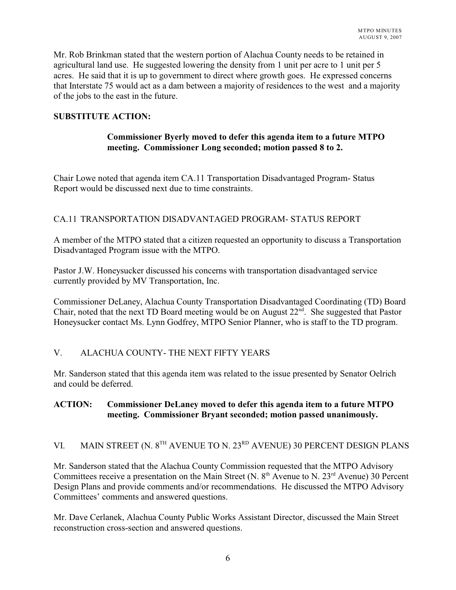Mr. Rob Brinkman stated that the western portion of Alachua County needs to be retained in agricultural land use. He suggested lowering the density from 1 unit per acre to 1 unit per 5 acres. He said that it is up to government to direct where growth goes. He expressed concerns that Interstate 75 would act as a dam between a majority of residences to the west and a majority of the jobs to the east in the future.

# **SUBSTITUTE ACTION:**

# **Commissioner Byerly moved to defer this agenda item to a future MTPO meeting. Commissioner Long seconded; motion passed 8 to 2.**

Chair Lowe noted that agenda item CA.11 Transportation Disadvantaged Program- Status Report would be discussed next due to time constraints.

# CA.11 TRANSPORTATION DISADVANTAGED PROGRAM- STATUS REPORT

A member of the MTPO stated that a citizen requested an opportunity to discuss a Transportation Disadvantaged Program issue with the MTPO.

Pastor J.W. Honeysucker discussed his concerns with transportation disadvantaged service currently provided by MV Transportation, Inc.

Commissioner DeLaney, Alachua County Transportation Disadvantaged Coordinating (TD) Board Chair, noted that the next TD Board meeting would be on August  $22<sup>nd</sup>$ . She suggested that Pastor Honeysucker contact Ms. Lynn Godfrey, MTPO Senior Planner, who is staff to the TD program.

# V. ALACHUA COUNTY- THE NEXT FIFTY YEARS

Mr. Sanderson stated that this agenda item was related to the issue presented by Senator Oelrich and could be deferred.

## **ACTION: Commissioner DeLaney moved to defer this agenda item to a future MTPO meeting. Commissioner Bryant seconded; motion passed unanimously.**

# VI. MAIN STREET (N.  $8^{TH}$  AVENUE TO N.  $23^{RD}$  AVENUE) 30 PERCENT DESIGN PLANS

Mr. Sanderson stated that the Alachua County Commission requested that the MTPO Advisory Committees receive a presentation on the Main Street (N.  $8<sup>th</sup>$  Avenue to N. 23<sup>rd</sup> Avenue) 30 Percent Design Plans and provide comments and/or recommendations. He discussed the MTPO Advisory Committees' comments and answered questions.

Mr. Dave Cerlanek, Alachua County Public Works Assistant Director, discussed the Main Street reconstruction cross-section and answered questions.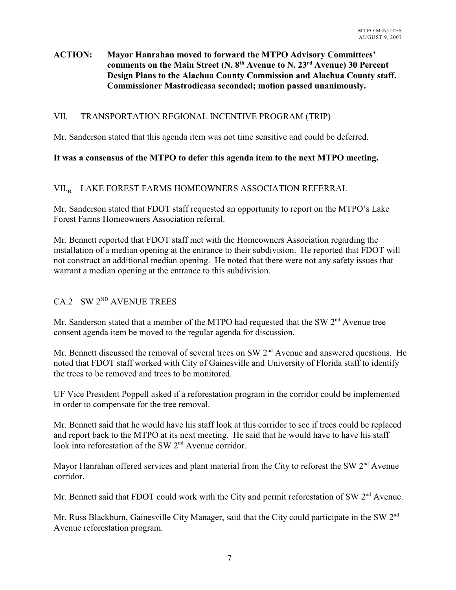# **ACTION: Mayor Hanrahan moved to forward the MTPO Advisory Committees'** comments on the Main Street (N.  $8<sup>th</sup>$  Avenue to N.  $23<sup>rd</sup>$  Avenue) 30 Percent **Design Plans to the Alachua County Commission and Alachua County staff. Commissioner Mastrodicasa seconded; motion passed unanimously.**

## VII. TRANSPORTATION REGIONAL INCENTIVE PROGRAM (TRIP)

Mr. Sanderson stated that this agenda item was not time sensitive and could be deferred.

# **It was a consensus of the MTPO to defer this agenda item to the next MTPO meeting.**

# $\rm VII_{\cdot B}$  – LAKE FOREST FARMS HOMEOWNERS ASSOCIATION REFERRAL

Mr. Sanderson stated that FDOT staff requested an opportunity to report on the MTPO's Lake Forest Farms Homeowners Association referral.

Mr. Bennett reported that FDOT staff met with the Homeowners Association regarding the installation of a median opening at the entrance to their subdivision. He reported that FDOT will not construct an additional median opening. He noted that there were not any safety issues that warrant a median opening at the entrance to this subdivision.

# CA.2 SW  $2^{ND}$  AVENUE TREES

Mr. Sanderson stated that a member of the MTPO had requested that the SW  $2<sup>nd</sup>$  Avenue tree consent agenda item be moved to the regular agenda for discussion.

Mr. Bennett discussed the removal of several trees on SW  $2<sup>nd</sup>$  Avenue and answered questions. He noted that FDOT staff worked with City of Gainesville and University of Florida staff to identify the trees to be removed and trees to be monitored.

UF Vice President Poppell asked if a reforestation program in the corridor could be implemented in order to compensate for the tree removal.

Mr. Bennett said that he would have his staff look at this corridor to see if trees could be replaced and report back to the MTPO at its next meeting. He said that he would have to have his staff look into reforestation of the SW  $2<sup>nd</sup>$  Avenue corridor.

Mayor Hanrahan offered services and plant material from the City to reforest the SW  $2<sup>nd</sup>$  Avenue corridor.

Mr. Bennett said that FDOT could work with the City and permit reforestation of SW  $2<sup>nd</sup>$  Avenue.

Mr. Russ Blackburn, Gainesville City Manager, said that the City could participate in the SW 2<sup>nd</sup> Avenue reforestation program.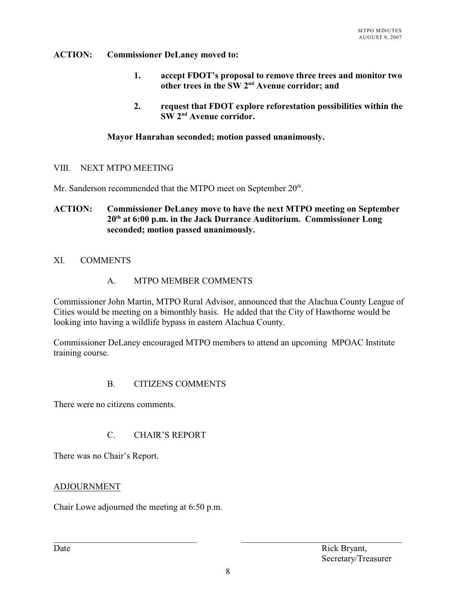# **ACTION: Commissioner DeLaney moved to:**

- **1. accept FDOT's proposal to remove three trees and monitor two** other trees in the SW 2<sup>nd</sup> Avenue corridor; and
- **2. request that FDOT explore reforestation possibilities within the SW** 2<sup>nd</sup> Avenue corridor.

# **Mayor Hanrahan seconded; motion passed unanimously.**

## VIII. NEXT MTPO MEETING

Mr. Sanderson recommended that the MTPO meet on September  $20^{\text{th}}$ .

# **ACTION: Commissioner DeLaney move to have the next MTPO meeting on September 20 at 6:00 p.m. in the Jack Durrance Auditorium. Commissioner Long th seconded; motion passed unanimously.**

# XI. COMMENTS

## A. MTPO MEMBER COMMENTS

Commissioner John Martin, MTPO Rural Advisor, announced that the Alachua County League of Cities would be meeting on a bimonthly basis. He added that the City of Hawthorne would be looking into having a wildlife bypass in eastern Alachua County.

Commissioner DeLaney encouraged MTPO members to attend an upcoming MPOAC Institute training course.

# B. CITIZENS COMMENTS

There were no citizens comments.

# C. CHAIR'S REPORT

There was no Chair's Report.

## ADJOURNMENT

Chair Lowe adjourned the meeting at 6:50 p.m.

\_\_\_\_\_\_\_\_\_\_\_\_\_\_\_\_\_\_\_\_\_\_\_\_\_\_\_\_\_\_\_\_ \_\_\_\_\_\_\_\_\_\_\_\_\_\_\_\_\_\_\_\_\_\_\_\_\_\_\_\_\_\_\_\_\_\_\_\_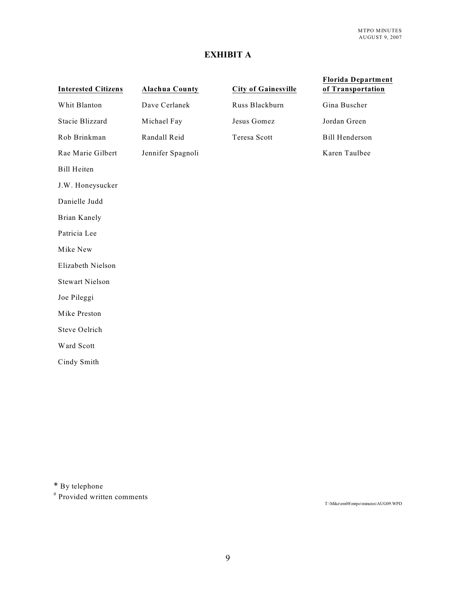# **EXHIBIT A**

| <b>Interested Citizens</b> | <b>Alachua County</b> | <b>City of Gainesville</b> | <b>Florida Department</b><br>of Transportation |
|----------------------------|-----------------------|----------------------------|------------------------------------------------|
| Whit Blanton               | Dave Cerlanek         | Russ Blackburn             | Gina Buscher                                   |
| Stacie Blizzard            | Michael Fay           | Jesus Gomez                | Jordan Green                                   |
| Rob Brinkman               | Randall Reid          | Teresa Scott               | <b>Bill Henderson</b>                          |
| Rae Marie Gilbert          | Jennifer Spagnoli     |                            | Karen Taulbee                                  |
| <b>Bill Heiten</b>         |                       |                            |                                                |
| J.W. Honeysucker           |                       |                            |                                                |
| Danielle Judd              |                       |                            |                                                |
| <b>Brian Kanely</b>        |                       |                            |                                                |
| Patricia Lee               |                       |                            |                                                |
| Mike New                   |                       |                            |                                                |
| Elizabeth Nielson          |                       |                            |                                                |
| <b>Stewart Nielson</b>     |                       |                            |                                                |
| Joe Pileggi                |                       |                            |                                                |
| Mike Preston               |                       |                            |                                                |
| Steve Oelrich              |                       |                            |                                                |
| Ward Scott                 |                       |                            |                                                |
| Cindy Smith                |                       |                            |                                                |
|                            |                       |                            |                                                |

\* By telephone

# Provided written comments

T:\Mike\em08\mtpo\minutes\AUG09.WPD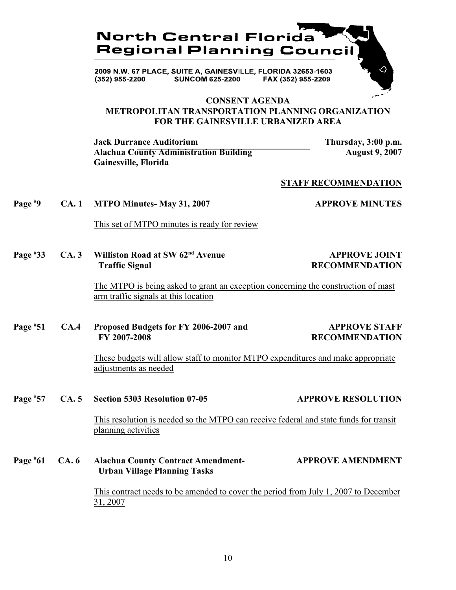

2009 N.W. 67 PLACE, SUITE A, GAINESVILLE, FLORIDA 32653-1603 (352) 955-2200 **SUNCOM 625-2200** FAX (352) 955-2209

## **CONSENT AGENDA METROPOLITAN TRANSPORTATION PLANNING ORGANIZATION FOR THE GAINESVILLE URBANIZED AREA**

**Jack Durrance Auditorium Thursday, 3:00 p.m. Alachua County Administration Building Theory August 9, 2007 Gainesville, Florida**

#### **STAFF RECOMMENDATION**

**Page**  $\overset{\text{#9}}{ }$  **CA. 1 MTPO Minutes- May 31, 2007 APPROVE MINUTES** 

This set of MTPO minutes is ready for review

**Page**  $*33$  **CA. 3 Williston Road at SW 62<sup>nd</sup> Avenue APPROVE JOINT Traffic Signal RECOMMENDATION**

The MTPO is being asked to grant an exception concerning the construction of mast arm traffic signals at this location

**Page**  $*51$  CA.4 Proposed Budgets for FY 2006-2007 and APPROVE STAFF  **FY 2007-2008 RECOMMENDATION**

These budgets will allow staff to monitor MTPO expenditures and make appropriate adjustments as needed

**Page 57 CA. 5 Section 5303 Resolution 07-05 APPROVE RESOLUTION** Page #57

> This resolution is needed so the MTPO can receive federal and state funds for transit planning activities

**Page #61** CA. 6 **Alachua County Contract Amendment- APPROVE AMENDMENT Urban Village Planning Tasks**

> This contract needs to be amended to cover the period from July 1, 2007 to December 31, 2007